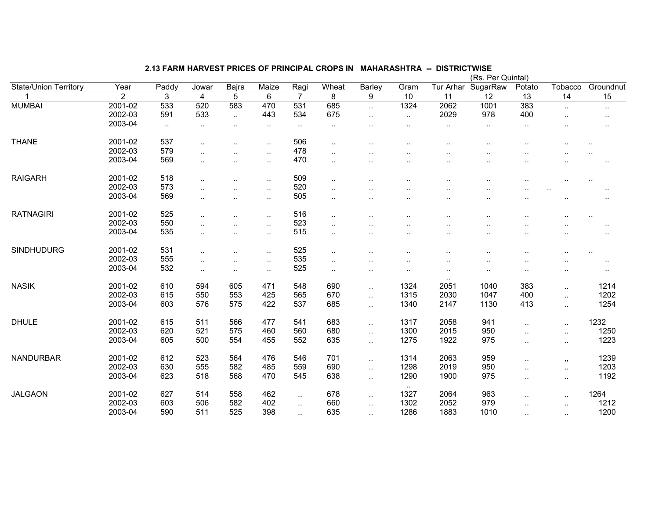|                              |                    |            |                      |                      |           |                |                      |                        |                      |                      | (Rs. Per Quintal)        |                      |                      |                      |
|------------------------------|--------------------|------------|----------------------|----------------------|-----------|----------------|----------------------|------------------------|----------------------|----------------------|--------------------------|----------------------|----------------------|----------------------|
| <b>State/Union Territory</b> | Year               | Paddy      | Jowar                | Bajra                | Maize     | Ragi           | Wheat                | Barley                 | Gram                 | Tur Arhar            | SugarRaw                 | Potato               | Tobacco              | Groundnut            |
| 1                            | $\overline{2}$     | 3          | 4                    | 5                    | 6         | $\overline{7}$ | 8                    | 9                      | 10                   | 11                   | $\overline{12}$          | 13                   | 14                   | 15                   |
| <b>MUMBAI</b>                | 2001-02            | 533        | 520                  | 583                  | 470       | 531            | 685                  | $\ddot{\phantom{1}}$   | 1324                 | 2062                 | 1001                     | 383                  | $\sim$               | $\cdot$ .            |
|                              | 2002-03            | 591        | 533                  | $\ddot{\phantom{a}}$ | 443       | 534            | 675                  | $\ddot{\phantom{a}}$ . | $\sim$               | 2029                 | 978                      | 400                  | $\ddot{\phantom{a}}$ | $\cdot$ .            |
|                              | 2003-04            | $\sim$     | $\sim$               | $\cdot$ .            | $\cdot$ . | $\sim$ $\sim$  | $\sim$               |                        |                      | $\cdot$ .            | $\cdot$ .                | $\cdot$ .            |                      | ٠.                   |
| <b>THANE</b>                 | 2001-02            | 537        | $\ddotsc$            |                      | $\ldots$  | 506            | $\ddotsc$            |                        | $\ddot{\phantom{a}}$ | $\cdot$              |                          |                      |                      |                      |
|                              | 2002-03            | 579        | $\ddot{\phantom{a}}$ | $\ddot{\phantom{a}}$ | $\ddotsc$ | 478            | $\sim$               |                        |                      |                      | <br>$\ddot{\phantom{a}}$ |                      |                      | $\ldots$<br>         |
|                              | 2003-04            | 569        |                      |                      |           | 470            |                      |                        |                      |                      |                          |                      |                      |                      |
|                              |                    |            | ٠.                   | $\cdot$ .            | $\sim$    |                | $\cdot$ .            |                        |                      |                      |                          |                      |                      | $\cdot$ .            |
| <b>RAIGARH</b>               | 2001-02            | 518        | $\ddotsc$            | $\cdot$ .            | $\sim$    | 509            | $\sim$               | $\ddotsc$              |                      | $\cdot$ .            |                          | $\ddotsc$            | $\cdot$ .            | $\ddot{\phantom{a}}$ |
|                              | 2002-03            | 573        | $\ddot{\phantom{a}}$ | $\ddot{\phantom{a}}$ | $\ddotsc$ | 520            | $\ddot{\phantom{a}}$ |                        |                      | $\ddot{\phantom{a}}$ | $\ddotsc$                |                      |                      | $\cdot$ .            |
|                              | 2003-04            | 569        | $\ddotsc$            | $\cdot$              | $\ddotsc$ | 505            | $\ddotsc$            |                        | $\ddot{\phantom{a}}$ | $\cdot$ .            |                          |                      | $\ddot{\phantom{a}}$ | $\cdot$ .            |
| <b>RATNAGIRI</b>             | 2001-02            | 525        |                      |                      |           | 516            |                      |                        |                      |                      |                          |                      |                      |                      |
|                              | 2002-03            | 550        | $\ddotsc$            | $\cdot$ .            | $\sim$    | 523            | $\ddotsc$            | $\ddotsc$              |                      | $\cdot$ .            |                          | $\ddot{\phantom{a}}$ | $\cdot$ .            | $\cdot$ .            |
|                              | 2003-04            | 535        | $\ldots$             | $\cdot$ .            | $\ldots$  | 515            | $\cdot$ .            | $\ddotsc$              |                      |                      |                          |                      |                      | $\sim$               |
|                              |                    |            | $\ddot{\phantom{a}}$ | $\cdot$ .            | $\ldots$  |                | $\ldots$             |                        |                      | $\cdot$              |                          |                      |                      | $\ddotsc$            |
| <b>SINDHUDURG</b>            | 2001-02            | 531        | ٠.                   | $\ddot{\phantom{a}}$ | $\ldots$  | 525            | $\cdot$ .            |                        | $\cdot$ .            |                      |                          | ٠.                   | $\ddotsc$            | $\ldots$             |
|                              | 2002-03            | 555        | $\cdot$ .            | $\cdot$ .            | $\sim$    | 535            | $\cdot$ .            | $\ddotsc$              | $\ddot{\phantom{a}}$ | $\cdot$ .            |                          |                      | $\ddotsc$            | $\cdot$ .            |
|                              | 2003-04            | 532        | $\sim$               | $\sim$               | $\cdot$ . | 525            | $\sim$               | $\sim$                 | $\cdot$ .            | $\cdot$ .            |                          | $\cdot$ .            | $\cdot$ .            | $\sim$               |
| <b>NASIK</b>                 | 2001-02            | 610        | 594                  | 605                  | 471       | 548            | 690                  | ٠.                     | 1324                 | $\cdot$ .<br>2051    | 1040                     | 383                  | $\ldots$             | 1214                 |
|                              | 2002-03            | 615        | 550                  | 553                  | 425       | 565            | 670                  | $\ddotsc$              | 1315                 | 2030                 | 1047                     | 400                  | $\ddotsc$            | 1202                 |
|                              | 2003-04            | 603        | 576                  | 575                  | 422       | 537            | 685                  | $\ddotsc$              | 1340                 | 2147                 | 1130                     | 413                  | $\ddotsc$            | 1254                 |
| <b>DHULE</b>                 |                    |            | 511                  | 566                  | 477       |                | 683                  |                        |                      |                      |                          |                      |                      | 1232                 |
|                              | 2001-02<br>2002-03 | 615<br>620 | 521                  | 575                  | 460       | 541<br>560     |                      | $\ddotsc$              | 1317                 | 2058                 | 941                      | $\ddotsc$            | $\sim$ .             |                      |
|                              |                    |            |                      |                      |           |                | 680                  | $\ddotsc$              | 1300                 | 2015                 | 950                      | $\ddotsc$            | $\sim$               | 1250                 |
|                              | 2003-04            | 605        | 500                  | 554                  | 455       | 552            | 635                  | $\ddotsc$              | 1275                 | 1922                 | 975                      | $\ddotsc$            | $\ddotsc$            | 1223                 |
| <b>NANDURBAR</b>             | 2001-02            | 612        | 523                  | 564                  | 476       | 546            | 701                  | $\sim$                 | 1314                 | 2063                 | 959                      | $\cdot$ .            | , ,                  | 1239                 |
|                              | 2002-03            | 630        | 555                  | 582                  | 485       | 559            | 690                  | $\ddot{\phantom{1}}$   | 1298                 | 2019                 | 950                      | $\cdot$ .            | $\ldots$             | 1203                 |
|                              | 2003-04            | 623        | 518                  | 568                  | 470       | 545            | 638                  | $\sim$                 | 1290                 | 1900                 | 975                      | $\cdot$ .            | $\sim$               | 1192                 |
| <b>JALGAON</b>               | 2001-02            | 627        | 514                  | 558                  | 462       |                | 678                  |                        | $\sim$<br>1327       | 2064                 | 963                      |                      |                      | 1264                 |
|                              | 2002-03            | 603        | 506                  | 582                  | 402       | $\ddotsc$      | 660                  | $\ddot{\phantom{1}}$   | 1302                 | 2052                 | 979                      | $\ddotsc$            | $\sim$               | 1212                 |
|                              | 2003-04            | 590        | 511                  | 525                  | 398       | $\ddotsc$      | 635                  | $\ddotsc$              | 1286                 | 1883                 | 1010                     | $\ddotsc$            | $\ldots$             | 1200                 |
|                              |                    |            |                      |                      |           | $\sim$ $\sim$  |                      |                        |                      |                      |                          | $\ddotsc$            |                      |                      |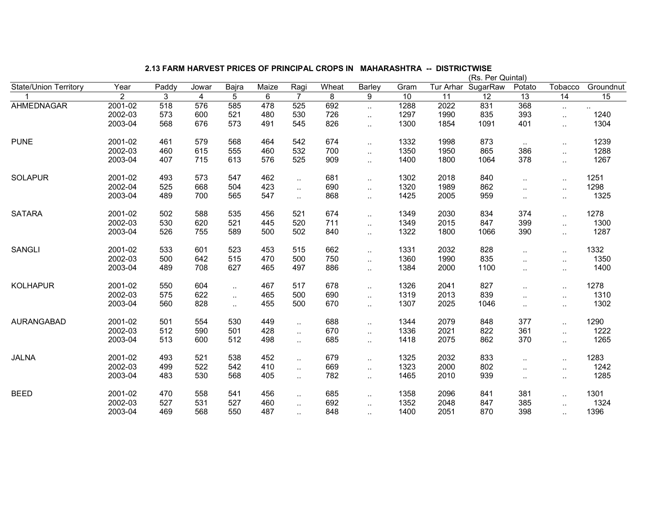|                              |                |       |       |                      |       |                      |       |                      |      |           | (Rs. Per Quintal) |                      |                      |           |
|------------------------------|----------------|-------|-------|----------------------|-------|----------------------|-------|----------------------|------|-----------|-------------------|----------------------|----------------------|-----------|
| <b>State/Union Territory</b> | Year           | Paddy | Jowar | Bajra                | Maize | Ragi                 | Wheat | Barley               | Gram | Tur Arhar | SugarRaw          | Potato               | Tobacco              | Groundnut |
|                              | $\overline{2}$ | 3     | 4     | 5                    | 6     | $\overline{7}$       | 8     | 9                    | 10   | 11        | 12                | 13                   | 14                   | 15        |
| AHMEDNAGAR                   | 2001-02        | 518   | 576   | 585                  | 478   | 525                  | 692   | $\ddotsc$            | 1288 | 2022      | 831               | 368                  | $\sim$               | $\ddotsc$ |
|                              | 2002-03        | 573   | 600   | 521                  | 480   | 530                  | 726   | $\ddotsc$            | 1297 | 1990      | 835               | 393                  | $\ddotsc$            | 1240      |
|                              | 2003-04        | 568   | 676   | 573                  | 491   | 545                  | 826   | $\ddotsc$            | 1300 | 1854      | 1091              | 401                  | $\ddot{\phantom{a}}$ | 1304      |
| <b>PUNE</b>                  | 2001-02        | 461   | 579   | 568                  | 464   | 542                  | 674   | $\cdot$ .            | 1332 | 1998      | 873               | $\sim$               | $\sim$               | 1239      |
|                              | 2002-03        | 460   | 615   | 555                  | 460   | 532                  | 700   | $\ddotsc$            | 1350 | 1950      | 865               | 386                  | $\ddotsc$            | 1288      |
|                              | 2003-04        | 407   | 715   | 613                  | 576   | 525                  | 909   | $\ddotsc$            | 1400 | 1800      | 1064              | 378                  | $\ddotsc$            | 1267      |
| <b>SOLAPUR</b>               | 2001-02        | 493   | 573   | 547                  | 462   | $\ddotsc$            | 681   | μ.                   | 1302 | 2018      | 840               | $\ldots$             | $\sim$               | 1251      |
|                              | 2002-04        | 525   | 668   | 504                  | 423   | $\ddotsc$            | 690   | $\mathbf{r}$ .       | 1320 | 1989      | 862               | $\ddot{\phantom{a}}$ | $\sim$ .             | 1298      |
|                              | 2003-04        | 489   | 700   | 565                  | 547   | $\ddotsc$            | 868   | μ.                   | 1425 | 2005      | 959               | $\ddotsc$            | $\ddotsc$            | 1325      |
| <b>SATARA</b>                | 2001-02        | 502   | 588   | 535                  | 456   | 521                  | 674   |                      | 1349 | 2030      | 834               | 374                  | $\ddotsc$            | 1278      |
|                              | 2002-03        | 530   | 620   | 521                  | 445   | 520                  | 711   | $\ddot{\phantom{a}}$ | 1349 | 2015      | 847               | 399                  | $\ddotsc$            | 1300      |
|                              | 2003-04        | 526   | 755   | 589                  | 500   | 502                  | 840   | $\ddot{\phantom{a}}$ | 1322 | 1800      | 1066              | 390                  | $\ddotsc$            | 1287      |
| <b>SANGLI</b>                | 2001-02        | 533   | 601   | 523                  | 453   | 515                  | 662   | $\ddot{\phantom{a}}$ | 1331 | 2032      | 828               | $\ddotsc$            | $\ddotsc$            | 1332      |
|                              | 2002-03        | 500   | 642   | 515                  | 470   | 500                  | 750   | $\ddot{\phantom{a}}$ | 1360 | 1990      | 835               | $\ddot{\phantom{a}}$ | $\ddotsc$            | 1350      |
|                              | 2003-04        | 489   | 708   | 627                  | 465   | 497                  | 886   | $\ddotsc$            | 1384 | 2000      | 1100              | $\ddotsc$            | $\sim$               | 1400      |
| <b>KOLHAPUR</b>              | 2001-02        | 550   | 604   | $\sim$               | 467   | 517                  | 678   | $\cdot$ .            | 1326 | 2041      | 827               | $\ddotsc$            | $\sim$               | 1278      |
|                              | 2002-03        | 575   | 622   | $\ddot{\phantom{a}}$ | 465   | 500                  | 690   | $\mathbf{r}$ .       | 1319 | 2013      | 839               | $\ddot{\phantom{a}}$ | $\ddotsc$            | 1310      |
|                              | 2003-04        | 560   | 828   | $\ddot{\phantom{a}}$ | 455   | 500                  | 670   | $\ddotsc$            | 1307 | 2025      | 1046              | $\ldots$             | $\sim$               | 1302      |
| <b>AURANGABAD</b>            | 2001-02        | 501   | 554   | 530                  | 449   | $\ddotsc$            | 688   | $\ddotsc$            | 1344 | 2079      | 848               | 377                  | $\ddot{\phantom{a}}$ | 1290      |
|                              | 2002-03        | 512   | 590   | 501                  | 428   | $\ddotsc$            | 670   | μ.                   | 1336 | 2021      | 822               | 361                  | $\ddotsc$            | 1222      |
|                              | 2003-04        | 513   | 600   | 512                  | 498   | $\ddotsc$            | 685   | $\ddot{\phantom{a}}$ | 1418 | 2075      | 862               | 370                  | $\ddot{\phantom{a}}$ | 1265      |
| <b>JALNA</b>                 | 2001-02        | 493   | 521   | 538                  | 452   | $\ddot{\phantom{1}}$ | 679   | $\cdot$ .            | 1325 | 2032      | 833               | $\ldots$             | $\sim$               | 1283      |
|                              | 2002-03        | 499   | 522   | 542                  | 410   | $\ddotsc$            | 669   | $\mathbf{r}$ .       | 1323 | 2000      | 802               | $\ddot{\phantom{a}}$ | $\ddot{\phantom{a}}$ | 1242      |
|                              | 2003-04        | 483   | 530   | 568                  | 405   | . .                  | 782   |                      | 1465 | 2010      | 939               | $\ddotsc$            | $\sim$               | 1285      |
| <b>BEED</b>                  | 2001-02        | 470   | 558   | 541                  | 456   | $\ddotsc$            | 685   | $\cdot$ .            | 1358 | 2096      | 841               | 381                  | $\sim$               | 1301      |
|                              | 2002-03        | 527   | 531   | 527                  | 460   | $\ddotsc$            | 692   | $\ddot{\phantom{a}}$ | 1352 | 2048      | 847               | 385                  | $\ddot{\phantom{a}}$ | 1324      |
|                              | 2003-04        | 469   | 568   | 550                  | 487   |                      | 848   |                      | 1400 | 2051      | 870               | 398                  | $\ddotsc$            | 1396      |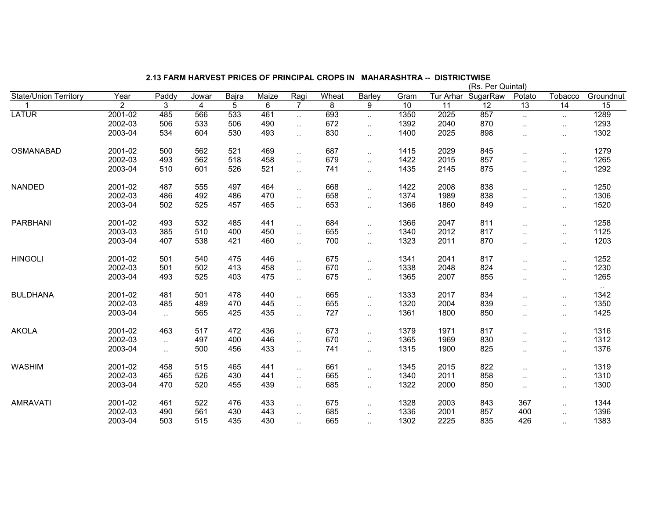|                              |                |                      |                         |       |       |                |       |                      |                 |           | (Rs. Per Quintal) |                      |                      |                       |
|------------------------------|----------------|----------------------|-------------------------|-------|-------|----------------|-------|----------------------|-----------------|-----------|-------------------|----------------------|----------------------|-----------------------|
| <b>State/Union Territory</b> | Year           | Paddy                | Jowar                   | Bajra | Maize | Ragi           | Wheat | Barley               | Gram            | Tur Arhar | SugarRaw          | Potato               | Tobacco              | Groundnut             |
|                              | $\overline{2}$ | 3                    | $\overline{\mathbf{4}}$ | 5     | 6     | $\overline{7}$ | 8     | 9                    | $\overline{10}$ | 11        | $\overline{12}$   | $\overline{13}$      | $\overline{14}$      | $\overline{15}$       |
| <b>LATUR</b>                 | 2001-02        | 485                  | 566                     | 533   | 461   | $\ddotsc$      | 693   | $\ddotsc$            | 1350            | 2025      | 857               | $\ddotsc$            | $\ddotsc$            | 1289                  |
|                              | 2002-03        | 506                  | 533                     | 506   | 490   | $\ddotsc$      | 672   | $\ddot{\phantom{a}}$ | 1392            | 2040      | 870               | $\cdot$ .            | $\sim$               | 1293                  |
|                              | 2003-04        | 534                  | 604                     | 530   | 493   | $\ddotsc$      | 830   | $\ldots$             | 1400            | 2025      | 898               | ٠.                   | $\sim$               | 1302                  |
| OSMANABAD                    | 2001-02        | 500                  | 562                     | 521   | 469   | $\ddotsc$      | 687   | $\ldots$             | 1415            | 2029      | 845               | ٠.                   | $\sim$               | 1279                  |
|                              | 2002-03        | 493                  | 562                     | 518   | 458   | $\ddotsc$      | 679   | $\ddotsc$            | 1422            | 2015      | 857               | ٠.                   | $\ddotsc$            | 1265                  |
|                              | 2003-04        | 510                  | 601                     | 526   | 521   | $\ddotsc$      | 741   | $\ddot{\phantom{a}}$ | 1435            | 2145      | 875               | $\cdot$ .            | $\sim$               | 1292                  |
| <b>NANDED</b>                | 2001-02        | 487                  | 555                     | 497   | 464   | $\ddotsc$      | 668   | $\cdot$ .            | 1422            | 2008      | 838               | $\cdot$ .            | $\sim$               | 1250                  |
|                              | 2002-03        | 486                  | 492                     | 486   | 470   | $\ddotsc$      | 658   | $\ddotsc$            | 1374            | 1989      | 838               | $\ddot{\phantom{a}}$ | $\ddot{\phantom{1}}$ | 1306                  |
|                              | 2003-04        | 502                  | 525                     | 457   | 465   |                | 653   |                      | 1366            | 1860      | 849               | $\ddotsc$            | $\ddotsc$            | 1520                  |
| <b>PARBHANI</b>              | 2001-02        | 493                  | 532                     | 485   | 441   | $\ddotsc$      | 684   | $\ldots$             | 1366            | 2047      | 811               | $\ddotsc$            | $\sim$               | 1258                  |
|                              | 2003-03        | 385                  | 510                     | 400   | 450   | $\ddotsc$      | 655   | $\mathbf{r}$ .       | 1340            | 2012      | 817               | $\ddot{\phantom{a}}$ | $\ddotsc$            | 1125                  |
|                              | 2003-04        | 407                  | 538                     | 421   | 460   | $\ddotsc$      | 700   | μ.                   | 1323            | 2011      | 870               |                      | $\ddot{\phantom{1}}$ | 1203                  |
| <b>HINGOLI</b>               | 2001-02        | 501                  | 540                     | 475   | 446   | $\sim$         | 675   | $\cdot$ .            | 1341            | 2041      | 817               | $\ddotsc$            | $\sim$               | 1252                  |
|                              | 2002-03        | 501                  | 502                     | 413   | 458   | $\ddotsc$      | 670   | $\ddot{\phantom{a}}$ | 1338            | 2048      | 824               | $\ddotsc$            | $\ddotsc$            | 1230                  |
|                              | 2003-04        | 493                  | 525                     | 403   | 475   | Ω.             | 675   | $\ddotsc$            | 1365            | 2007      | 855               | $\cdot$ .            | $\sim$               | 1265                  |
| <b>BULDHANA</b>              | 2001-02        | 481                  | 501                     | 478   | 440   | $\ddotsc$      | 665   | $\ldots$             | 1333            | 2017      | 834               | $\ldots$             | $\sim$               | $\sim$ $\sim$<br>1342 |
|                              | 2002-03        | 485                  | 489                     | 470   | 445   | $\ddotsc$      | 655   | $\ddot{\phantom{a}}$ | 1320            | 2004      | 839               |                      | $\sim$               | 1350                  |
|                              | 2003-04        | $\ddotsc$            | 565                     | 425   | 435   | ٠.             | 727   | $\ddot{\phantom{a}}$ | 1361            | 1800      | 850               | $\ddotsc$            | $\ddot{\phantom{1}}$ | 1425                  |
| <b>AKOLA</b>                 | 2001-02        | 463                  | 517                     | 472   | 436   | $\ddotsc$      | 673   | $\ldots$             | 1379            | 1971      | 817               | $\cdot$ .            | $\sim$               | 1316                  |
|                              | 2002-03        | $\ddot{\phantom{1}}$ | 497                     | 400   | 446   | $\ddotsc$      | 670   | $\ddotsc$            | 1365            | 1969      | 830               | $\ddotsc$            | $\sim$               | 1312                  |
|                              | 2003-04        | $\ddot{\phantom{1}}$ | 500                     | 456   | 433   | $\ddotsc$      | 741   | $\ldots$             | 1315            | 1900      | 825               | $\cdot$ .            | $\sim$               | 1376                  |
| <b>WASHIM</b>                | 2001-02        | 458                  | 515                     | 465   | 441   | $\sim$         | 661   | $\cdot$ .            | 1345            | 2015      | 822               |                      | $\sim$               | 1319                  |
|                              | 2002-03        | 465                  | 526                     | 430   | 441   | $\ddotsc$      | 665   | $\ddotsc$            | 1340            | 2011      | 858               | $\ddot{\phantom{a}}$ | $\ddotsc$            | 1310                  |
|                              | 2003-04        | 470                  | 520                     | 455   | 439   | $\ddotsc$      | 685   |                      | 1322            | 2000      | 850               | ٠.                   | $\sim$               | 1300                  |
| <b>AMRAVATI</b>              | 2001-02        | 461                  | 522                     | 476   | 433   | $\ddotsc$      | 675   | $\cdot$ .            | 1328            | 2003      | 843               | 367                  | $\sim$               | 1344                  |
|                              | 2002-03        | 490                  | 561                     | 430   | 443   | $\ddotsc$      | 685   | $\ddotsc$            | 1336            | 2001      | 857               | 400                  | $\ddotsc$            | 1396                  |
|                              | 2003-04        | 503                  | 515                     | 435   | 430   | μ.             | 665   | μ.                   | 1302            | 2225      | 835               | 426                  | $\ddotsc$            | 1383                  |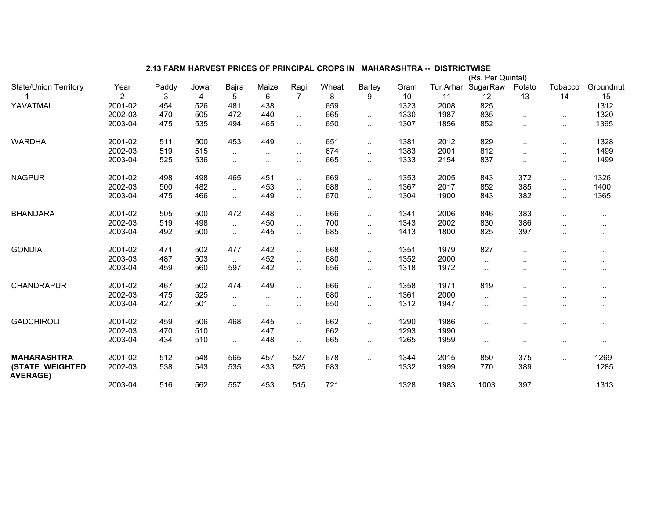|                                           |                |       |       |           |           |                      |       |                      |      |           | (Rs. Per Quintal) |                      |                      |               |
|-------------------------------------------|----------------|-------|-------|-----------|-----------|----------------------|-------|----------------------|------|-----------|-------------------|----------------------|----------------------|---------------|
| <b>State/Union Territory</b>              | Year           | Paddy | Jowar | Bajra     | Maize     | Ragi                 | Wheat | <b>Barley</b>        | Gram | Tur Arhar | SugarRaw          | Potato               | Tobacco              | Groundnut     |
|                                           | $\overline{2}$ | 3     | 4     | 5         | 6         | $\overline{7}$       | 8     | 9                    | 10   | 11        | 12                | 13                   | 14                   | 15            |
| YAVATMAL                                  | 2001-02        | 454   | 526   | 481       | 438       | $\cdot$ .            | 659   | $\cdot$ .            | 1323 | 2008      | 825               | $\ddotsc$            | $\ddot{\phantom{1}}$ | 1312          |
|                                           | 2002-03        | 470   | 505   | 472       | 440       | $\cdot$ .            | 665   | $\cdot$ .            | 1330 | 1987      | 835               |                      | $\ddot{\phantom{1}}$ | 1320          |
|                                           | 2003-04        | 475   | 535   | 494       | 465       | $\ddotsc$            | 650   | $\ldots$             | 1307 | 1856      | 852               |                      | $\sim$               | 1365          |
| <b>WARDHA</b>                             | 2001-02        | 511   | 500   | 453       | 449       | $\cdot$ .            | 651   | $\cdot$ .            | 1381 | 2012      | 829               | $\cdot$ .            | $\ddot{\phantom{1}}$ | 1328          |
|                                           | 2002-03        | 519   | 515   | $\ddotsc$ | $\ddotsc$ | $\ddot{\phantom{a}}$ | 674   | $\ddotsc$            | 1383 | 2001      | 812               | $\ddot{\phantom{a}}$ | $\ddotsc$            | 1499          |
|                                           | 2003-04        | 525   | 536   | $\sim$    | $\cdot$ . | $\cdot$ .            | 665   | $\cdot$ .            | 1333 | 2154      | 837               | $\sim$               | $\cdot$ .            | 1499          |
| <b>NAGPUR</b>                             | 2001-02        | 498   | 498   | 465       | 451       | $\ddotsc$            | 669   | $\cdot$ .            | 1353 | 2005      | 843               | 372                  | $\ddotsc$            | 1326          |
|                                           | 2002-03        | 500   | 482   | $\ddotsc$ | 453       | $\ddotsc$            | 688   | $\cdot$ .            | 1367 | 2017      | 852               | 385                  | $\ddotsc$            | 1400          |
|                                           | 2003-04        | 475   | 466   | $\ddotsc$ | 449       | $\ddotsc$            | 670   | $\cdot$ .            | 1304 | 1900      | 843               | 382                  | $\ddotsc$            | 1365          |
| <b>BHANDARA</b>                           | 2001-02        | 505   | 500   | 472       | 448       | $\cdot$ .            | 666   | $\ddotsc$            | 1341 | 2006      | 846               | 383                  | $\ddot{\phantom{a}}$ | $\cdot$ .     |
|                                           | 2002-03        | 519   | 498   | $\sim$    | 450       | $\cdot$ .            | 700   | $\cdot$ .            | 1343 | 2002      | 830               | 386                  |                      |               |
|                                           | 2003-04        | 492   | 500   | $\ddotsc$ | 445       | $\ddotsc$            | 685   | $\ddotsc$            | 1413 | 1800      | 825               | 397                  | $\ddotsc$            | $\sim$ $\sim$ |
| <b>GONDIA</b>                             | 2001-02        | 471   | 502   | 477       | 442       | $\ddotsc$            | 668   | $\ddotsc$            | 1351 | 1979      | 827               |                      |                      |               |
|                                           | 2003-03        | 487   | 503   | $\ddotsc$ | 452       | $\cdot$ .            | 680   | $\ddotsc$            | 1352 | 2000      | $\sim$            | $\cdot$ .            | $\ddotsc$            | $\sim$ $\sim$ |
|                                           | 2003-04        | 459   | 560   | 597       | 442       | $\cdot$ .            | 656   | $\cdot$ .            | 1318 | 1972      | $\ddotsc$         | ٠.                   | $\ddotsc$            | $\sim$        |
| <b>CHANDRAPUR</b>                         | 2001-02        | 467   | 502   | 474       | 449       | $\ddotsc$            | 666   | $\cdot$ .            | 1358 | 1971      | 819               |                      |                      | $\sim$        |
|                                           | 2002-03        | 475   | 525   | $\ddotsc$ | $\cdot$ . | $\ddotsc$            | 680   | $\cdot$ .            | 1361 | 2000      | . .               |                      |                      | $\sim$ $\sim$ |
|                                           | 2003-04        | 427   | 501   | $\ddotsc$ | $\cdot$ . | $\sim$ $\sim$        | 650   | $\cdot$ .            | 1312 | 1947      |                   |                      | $\ddot{\phantom{a}}$ |               |
| <b>GADCHIROLI</b>                         | 2001-02        | 459   | 506   | 468       | 445       | $\cdot$ .            | 662   | $\cdot$ .            | 1290 | 1986      | . .               |                      | $\ddot{\phantom{a}}$ | $\sim$ $\sim$ |
|                                           | 2002-03        | 470   | 510   | $\ddotsc$ | 447       | $\ddotsc$            | 662   | $\ddot{\phantom{a}}$ | 1293 | 1990      | $\cdot$ .         |                      | $\ddotsc$            | $\ddotsc$     |
|                                           | 2003-04        | 434   | 510   | $\ddotsc$ | 448       |                      | 665   | $\ddot{\phantom{a}}$ | 1265 | 1959      |                   |                      | $\sim$               | $\sim$        |
| <b>MAHARASHTRA</b>                        | 2001-02        | 512   | 548   | 565       | 457       | 527                  | 678   | $\ddotsc$            | 1344 | 2015      | 850               | 375                  | $\ddotsc$            | 1269          |
| <b>(STATE WEIGHTED</b><br><b>AVERAGE)</b> | 2002-03        | 538   | 543   | 535       | 433       | 525                  | 683   | $\ldots$             | 1332 | 1999      | 770               | 389                  | $\ddot{\phantom{1}}$ | 1285          |
|                                           | 2003-04        | 516   | 562   | 557       | 453       | 515                  | 721   |                      | 1328 | 1983      | 1003              | 397                  | $\ddotsc$            | 1313          |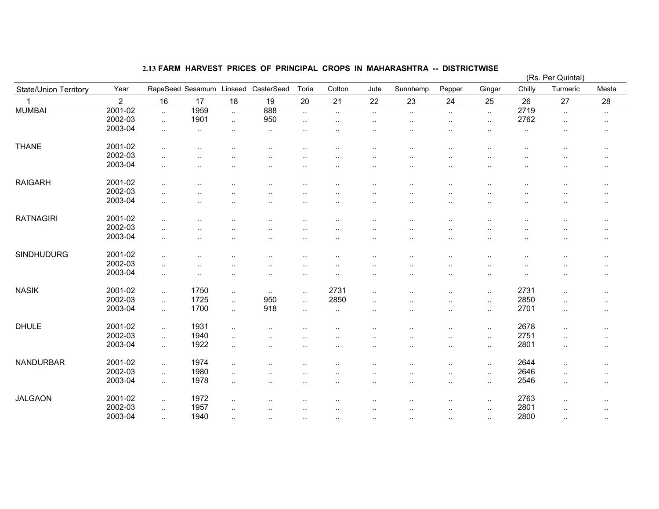|                              |                |           |                      |                |                      |           |                      |           |                      |                      |           |          | (Rs. Per Quintal)    |           |
|------------------------------|----------------|-----------|----------------------|----------------|----------------------|-----------|----------------------|-----------|----------------------|----------------------|-----------|----------|----------------------|-----------|
| <b>State/Union Territory</b> | Year           |           | RapeSeed Sesamum     | Linseed        | CasterSeed           | Toria     | Cotton               | Jute      | Sunnhemp             | Pepper               | Ginger    | Chilly   | Turmeric             | Mesta     |
| $\mathbf{1}$                 | $\overline{2}$ | 16        | 17                   | 18             | 19                   | 20        | 21                   | 22        | 23                   | 24                   | 25        | 26       | 27                   | 28        |
| <b>MUMBAI</b>                | 2001-02        | $\sim$    | 1959                 | $\mathbf{r}$ . | 888                  | $\sim$    | $\sim$ .             | $\sim$ .  | $\sim$               | $\sim$               | $\sim$    | 2719     | $\ldots$             | $\sim$    |
|                              | 2002-03        | $\ddotsc$ | 1901                 | $\ldots$       | 950                  | $\sim$    |                      | $\cdot$ . | $\sim$               | ٠.                   | $\sim$    | 2762     | $\cdot$ .            | $\cdot$ . |
|                              | 2003-04        | $\sim$    | $\sim$               | $\cdot$ .      | $\cdot$ .            |           |                      |           |                      |                      | ٠.        | $\cdots$ |                      | $\sim$    |
|                              |                |           |                      |                |                      |           |                      |           |                      |                      |           |          |                      |           |
| <b>THANE</b>                 | 2001-02        | $\cdot$ . | $\ddotsc$            |                | $\cdot$ .            | . .       |                      |           | $\cdot$ .            |                      |           |          | $\cdot$ .            | $\sim$    |
|                              | 2002-03        | $\sim$    | $\sim$               |                |                      | ٠.        | . .                  |           | $\ddotsc$            | ٠.                   | ٠.        | ٠.       | $\ddot{\phantom{a}}$ | $\sim$    |
|                              | 2003-04        |           |                      |                |                      |           |                      |           |                      |                      |           |          |                      |           |
|                              |                | $\sim$    | $\sim$               |                |                      | ٠.        | μ.                   |           | ٠.                   |                      |           |          | $\ddot{\phantom{a}}$ | $\sim$    |
| <b>RAIGARH</b>               | 2001-02        |           |                      |                |                      |           |                      |           |                      |                      |           |          |                      |           |
|                              | 2002-03        | $\cdot$ . | $\ddot{\phantom{a}}$ |                |                      |           |                      |           |                      |                      |           |          |                      | $\cdots$  |
|                              | 2003-04        | $\cdot$ . | $\ddot{\phantom{a}}$ |                |                      |           |                      |           |                      |                      |           |          |                      | $\cdots$  |
|                              |                | $\sim$    | $\ddot{\phantom{a}}$ |                |                      |           | $\ddot{\phantom{0}}$ | $\cdot$ . | $\cdot$ .            |                      |           |          | $\cdot$ .            | $\cdots$  |
| <b>RATNAGIRI</b>             | 2001-02        |           |                      |                |                      |           |                      |           |                      |                      |           |          |                      |           |
|                              | 2002-03        | $\cdot$ . | $\ddot{\phantom{a}}$ |                |                      |           |                      |           | . .                  |                      |           |          |                      | $\cdot$ . |
|                              | 2003-04        | $\cdot$ . |                      |                |                      |           |                      |           |                      |                      |           |          |                      | $\sim$    |
|                              |                | $\cdot$ . | $\ddot{\phantom{0}}$ |                |                      | ٠.        |                      |           | $\ddot{\phantom{0}}$ |                      |           |          | $\cdot$ .            | $\cdot$ . |
| <b>SINDHUDURG</b>            | 2001-02        | $\ddotsc$ |                      |                | $\ddot{\phantom{a}}$ | ٠.        | $\ddot{\phantom{0}}$ |           | $\cdot$ .            |                      | ٠.        | ٠.       | $\ddot{\phantom{a}}$ | $\sim$    |
|                              | 2002-03        |           |                      |                |                      |           |                      |           |                      |                      |           |          |                      |           |
|                              | 2003-04        | $\cdot$ . |                      |                |                      |           |                      |           |                      |                      |           |          |                      | $\sim$    |
|                              |                | $\cdot$ . | $\ddotsc$            |                |                      | ٠.        | . .                  |           |                      |                      | ٠.        |          | ٠.                   | $\sim$    |
| <b>NASIK</b>                 | 2001-02        | $\ldots$  | 1750                 | $\ldots$       | $\sim$               | $\sim$    | 2731                 | $\cdot$ . | $\cdot$ .            | $\ddot{\phantom{a}}$ | $\sim$    | 2731     | $\ldots$             | $\sim$    |
|                              | 2002-03        | $\sim$    | 1725                 | $\sim$         | 950                  | $\ddotsc$ | 2850                 |           |                      |                      | $\cdot$ . | 2850     |                      |           |
|                              | 2003-04        | $\ddotsc$ | 1700                 |                | 918                  |           |                      |           |                      |                      |           | 2701     |                      | $\cdots$  |
|                              |                |           |                      | $\sim$         |                      | $\ddotsc$ | $\sim$               | $\ddotsc$ | $\cdot$ .            | $\cdot$ .            | $\sim$    |          | $\sim$               | $\sim$    |
| <b>DHULE</b>                 | 2001-02        | $\sim$    | 1931                 | $\cdot$ .      |                      |           |                      |           |                      |                      | $\sim$    | 2678     | $\ddot{\phantom{a}}$ | $\cdot$ . |
|                              | 2002-03        | $\sim$    | 1940                 | $\cdot$ .      |                      |           |                      |           |                      |                      | $\sim$    | 2751     | $\ldots$             | $\cdots$  |
|                              | 2003-04        |           | 1922                 |                |                      |           |                      |           |                      |                      |           | 2801     |                      |           |
|                              |                | $\sim$    |                      | $\sim$         |                      | ٠.        | . .                  | $\sim$    | $\cdot$ .            | $\ddot{\phantom{0}}$ | $\sim$    |          | $\sim$               | $\sim$    |
| NANDURBAR                    | 2001-02        | $\sim$    | 1974                 | $\ldots$       |                      |           |                      |           |                      | ٠.                   | $\ddotsc$ | 2644     | $\cdot$ .            | $\sim$    |
|                              | 2002-03        | $\sim$    | 1980                 | $\sim$         |                      |           |                      |           |                      |                      | $\sim$    | 2646     | $\sim$               | $\sim$    |
|                              | 2003-04        |           | 1978                 |                |                      |           |                      |           |                      |                      |           | 2546     |                      |           |
|                              |                | $\sim$    |                      | $\ddotsc$      |                      |           |                      |           | . .                  |                      | $\sim$    |          | $\sim$               | $\cdots$  |
| <b>JALGAON</b>               | 2001-02        | $\ddotsc$ | 1972                 | $\cdot$ .      |                      |           | $\cdot$ .            |           | $\ddotsc$            | ٠.                   | $\sim$    | 2763     | $\cdot$ .            | $\cdot$ . |
|                              | 2002-03        | $\sim$    | 1957                 | $\ddotsc$      |                      |           | $\cdot$ .            |           | $\cdot$ .            | $\ddotsc$            | $\ddotsc$ | 2801     | $\cdot$ .            |           |
|                              | 2003-04        |           | 1940                 |                |                      |           |                      |           |                      |                      |           | 2800     |                      | $\sim$    |
|                              |                | $\sim$    |                      | $\ddotsc$      | $\ddotsc$            | $\ddotsc$ | $\cdot$ .            | $\cdot$ . | $\sim$               | $\ddot{\phantom{a}}$ | $\ddotsc$ |          | $\cdot$ .            | $\sim$    |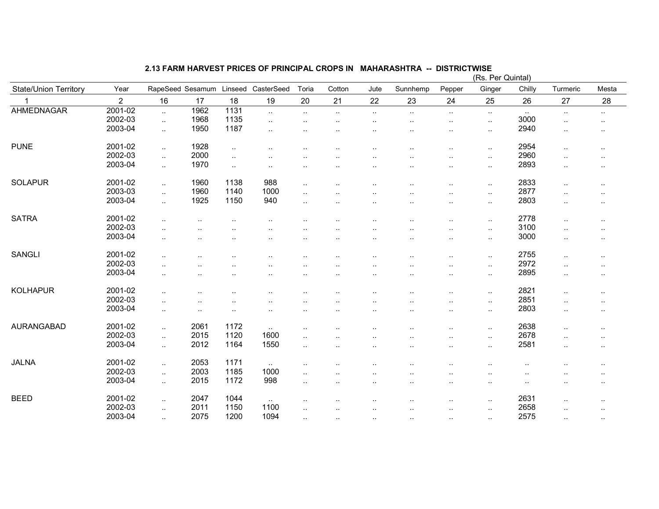|                       |                |                          |                      |                      |                             |                      |                      |                      |                      |                      | (Rs. Per Quintal)    |                      |                      |                      |
|-----------------------|----------------|--------------------------|----------------------|----------------------|-----------------------------|----------------------|----------------------|----------------------|----------------------|----------------------|----------------------|----------------------|----------------------|----------------------|
| State/Union Territory | Year           | RapeSeed Sesamum         |                      | Linseed              | CasterSeed                  | Toria                | Cotton               | Jute                 | Sunnhemp             | Pepper               | Ginger               | Chilly               | Turmeric             | Mesta                |
|                       | $\overline{2}$ | 16                       | 17                   | 18                   | 19                          | 20                   | 21                   | 22                   | 23                   | 24                   | 25                   | 26                   | 27                   | 28                   |
| <b>AHMEDNAGAR</b>     | 2001-02        | $\ldots$                 | 1962                 | 1131                 | $\mathcal{L}_{\mathcal{A}}$ | $\ddot{\phantom{1}}$ | $\cdot$ .            | $\sim$               | $\sim$ .             | $\ddotsc$            | $\sim$               | $\sim$ $\sim$        | $\cdot$ .            | $\sim$               |
|                       | 2002-03        | $\ddotsc$                | 1968                 | 1135                 | $\ddotsc$                   | $\ddotsc$            | $\cdot$ .            | $\cdot$ .            | $\cdot$ .            | $\ddotsc$            | $\sim$ .             | 3000                 | $\cdot$ .            | $\ddotsc$            |
|                       | 2003-04        | $\sim$                   | 1950                 | 1187                 | $\cdot$ .                   | $\ddotsc$            |                      | $\ddotsc$            | $\cdot$ .            | $\cdot$ .            | $\cdot$ .            | 2940                 | $\cdot$ .            | $\sim$               |
| <b>PUNE</b>           | 2001-02        | $\ldots$                 | 1928                 | $\sim$               | $\ddot{\phantom{a}}$        |                      |                      |                      |                      |                      | $\cdot$ .            | 2954                 | $\ldots$             | $\sim$               |
|                       | 2002-03        | $\ddotsc$                | 2000                 | $\ddotsc$            | $\ddotsc$                   |                      |                      |                      |                      | $\cdot$ .            | $\sim$               | 2960                 | $\ddot{\phantom{a}}$ | $\ddotsc$            |
|                       | 2003-04        | $\ddotsc$                | 1970                 |                      |                             |                      |                      |                      |                      |                      |                      | 2893                 |                      |                      |
|                       |                |                          |                      | $\sim$               | $\ddot{\phantom{a}}$        | $\ddotsc$            | . .                  | $\cdot$ .            | $\ddotsc$            | $\ddot{\phantom{a}}$ | $\sim$               |                      | $\cdot$ .            | $\sim$ $\sim$        |
| <b>SOLAPUR</b>        | 2001-02        | $\ldots$                 | 1960                 | 1138                 | 988                         | $\sim$               |                      |                      |                      |                      | $\cdot$ .            | 2833                 | $\ldots$             | $\sim$               |
|                       | 2003-03        | $\ldots$                 | 1960                 | 1140                 | 1000                        | $\cdot$ .            |                      |                      |                      |                      | $\cdot$ .            | 2877                 | $\ddot{\phantom{a}}$ | $\ddot{\phantom{a}}$ |
|                       | 2003-04        | $\ldots$                 | 1925                 | 1150                 | 940                         | $\ddotsc$            |                      |                      |                      |                      | $\ldots$             | 2803                 | $\ddotsc$            | $\sim$               |
|                       |                |                          |                      |                      |                             |                      |                      |                      |                      |                      |                      |                      |                      |                      |
| <b>SATRA</b>          | 2001-02        | $\sim$                   |                      | ٠.                   | ٠.                          |                      |                      |                      |                      | $\cdot$ .            | $\sim$ $\sim$        | 2778                 | $\cdot$ .            | $\ddotsc$            |
|                       | 2002-03        | $\overline{\phantom{a}}$ | $\ddot{\phantom{a}}$ | $\ddot{\phantom{a}}$ | $\ddotsc$                   | $\ddotsc$            |                      | . .                  | $\ddotsc$            | $\ddot{\phantom{a}}$ | $\sim$ .             | 3100                 | $\ddot{\phantom{a}}$ | $\ddotsc$            |
|                       | 2003-04        | $\cdot$ .                | $\ddot{\phantom{a}}$ | $\cdot$ .            | $\ddotsc$                   | $\ddot{\phantom{a}}$ |                      | $\cdot$ .            |                      | $\cdot$ .            | $\sim$               | 3000                 | $\ddotsc$            | $\ddotsc$            |
| <b>SANGLI</b>         | 2001-02        |                          |                      |                      |                             |                      |                      |                      |                      |                      |                      | 2755                 |                      |                      |
|                       | 2002-03        | $\ddotsc$                |                      | $\ddot{\phantom{a}}$ | $\ddot{\phantom{a}}$        | ٠.                   |                      |                      |                      | $\ddot{\phantom{a}}$ | $\ldots$             | 2972                 | $\ldots$             | $\cdot$ .            |
|                       | 2003-04        | $\ddot{\phantom{a}}$     |                      | $\ddot{\phantom{a}}$ |                             |                      |                      | $\cdot$ .            |                      |                      | $\ldots$             | 2895                 | $\ddot{\phantom{a}}$ |                      |
|                       |                | $\ddotsc$                | $\ddot{\phantom{a}}$ | $\cdot$ .            | $\ddotsc$                   |                      |                      | $\cdot$ .            | $\ddotsc$            | $\ddot{\phantom{a}}$ | $\sim$ .             |                      | $\ddot{\phantom{a}}$ | $\sim$ $\sim$        |
| <b>KOLHAPUR</b>       | 2001-02        | $\cdot$ .                |                      |                      |                             |                      |                      |                      |                      |                      | $\cdot$ .            | 2821                 | $\cdot$ .            | $\sim$               |
|                       | 2002-03        | $\ldots$                 |                      |                      | ٠.                          |                      |                      |                      |                      |                      | $\cdot$ .            | 2851                 | $\ddot{\phantom{a}}$ | $\cdot$ .            |
|                       | 2003-04        | $\ddotsc$                | $\ddot{\phantom{a}}$ | $\ddotsc$            | $\ddotsc$                   | $\ddot{\phantom{a}}$ |                      | $\cdot$ .            |                      | $\ddot{\phantom{a}}$ | $\sim$               | 2803                 | $\ddotsc$            |                      |
|                       |                |                          |                      |                      |                             |                      |                      |                      |                      |                      |                      |                      |                      |                      |
| AURANGABAD            | 2001-02        | $\ldots$                 | 2061                 | 1172                 | $\sim$ $\sim$               | $\ddotsc$            |                      |                      |                      |                      | $\cdot$ .            | 2638                 | $\ldots$             | $\ddotsc$            |
|                       | 2002-03        | $\ddotsc$                | 2015                 | 1120                 | 1600                        | $\ddotsc$            |                      |                      |                      | $\cdot$ .            | $\cdot$ .            | 2678                 | $\cdot$ .            | $\ddotsc$            |
|                       | 2003-04        | $\ldots$                 | 2012                 | 1164                 | 1550                        | $\sim$               |                      |                      |                      |                      | $\cdot$ .            | 2581                 | $\ddotsc$            | $\sim$               |
| <b>JALNA</b>          | 2001-02        | $\ddotsc$                | 2053                 | 1171                 | $\sim$                      | $\ddotsc$            |                      |                      |                      |                      | $\ddot{\phantom{a}}$ | $\ddotsc$            |                      | $\ddotsc$            |
|                       | 2002-03        |                          | 2003                 | 1185                 | 1000                        |                      |                      |                      |                      |                      |                      |                      |                      |                      |
|                       | 2003-04        | $\ldots$                 | 2015                 | 1172                 | 998                         | $\ddotsc$            |                      |                      |                      | $\cdot$ .            | $\ddotsc$            | $\ddotsc$            |                      | $\ddot{\phantom{a}}$ |
|                       |                | $\ldots$                 |                      |                      |                             | $\ddotsc$            | $\ddot{\phantom{a}}$ | $\ddot{\phantom{a}}$ | $\ddotsc$            | $\ddot{\phantom{a}}$ | $\cdot$ .            | $\ddot{\phantom{a}}$ | $\cdot$ .            | $\cdot$ .            |
| <b>BEED</b>           | 2001-02        | $\ldots$                 | 2047                 | 1044                 | $\ddotsc$                   |                      |                      |                      |                      | $\ddot{\phantom{a}}$ | $\cdot$ .            | 2631                 |                      | $\ddotsc$            |
|                       | 2002-03        | $\ldots$                 | 2011                 | 1150                 | 1100                        | $\ddotsc$            |                      | $\ddot{\phantom{a}}$ | $\ddotsc$            | $\ldots$             | $\cdot$ .            | 2658                 | $\ddotsc$            | $\cdot$ .            |
|                       | 2003-04        | $\ddotsc$                | 2075                 | 1200                 | 1094                        | $\ddotsc$            | $\ddot{\phantom{a}}$ | $\ldots$             | $\ddot{\phantom{a}}$ | $\ldots$             | $\sim$ .             | 2575                 | $\cdot$ .            | $\cdot$ .            |
|                       |                |                          |                      |                      |                             |                      |                      |                      |                      |                      |                      |                      |                      |                      |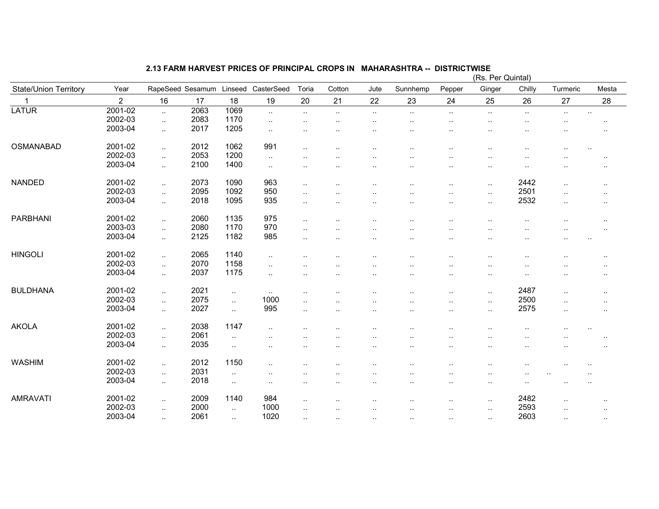|                       |                |           |                  |           |                        |                          |                      |                      |                      |                      | (RS. Per Quintal)    |           |                      |                      |
|-----------------------|----------------|-----------|------------------|-----------|------------------------|--------------------------|----------------------|----------------------|----------------------|----------------------|----------------------|-----------|----------------------|----------------------|
| State/Union Territory | Year           |           | RapeSeed Sesamum | Linseed   | CasterSeed             | Toria                    | Cotton               | Jute                 | Sunnhemp             | Pepper               | Ginger               | Chilly    | Turmeric             | Mesta                |
|                       | $\overline{2}$ | 16        | 17               | 18        | 19                     | 20                       | 21                   | 22                   | 23                   | 24                   | 25                   | 26        | 27                   | 28                   |
| <b>LATUR</b>          | 2001-02        | $\ldots$  | 2063             | 1069      | $\ddotsc$              | $\sim$                   | $\sim$               | $\sim$               | $\sim$               | $\sim$               | $\sim$               | $\sim$    | $\sim$               | $\sim$               |
|                       | 2002-03        | $\ldots$  | 2083             | 1170      | $\ddot{\phantom{a}}$ . | $\ddotsc$                |                      |                      | $\cdot$ .            | $\cdot$ .            | ٠.                   | $\ddotsc$ |                      | $\cdot$ .            |
|                       | 2003-04        | $\ldots$  | 2017             | 1205      | $\ddot{\phantom{a}}$ . | ٠.                       |                      |                      |                      |                      | $\ddot{\phantom{a}}$ | $\ddotsc$ | $\ddot{\phantom{a}}$ | $\ddot{\phantom{a}}$ |
| OSMANABAD             | 2001-02        | $\ddotsc$ | 2012             | 1062      | 991                    | $\overline{\phantom{a}}$ |                      |                      |                      | $\ddot{\phantom{a}}$ |                      |           | $\ddot{\phantom{a}}$ |                      |
|                       | 2002-03        | $\ddotsc$ | 2053             | 1200      | $\sim$                 |                          |                      |                      |                      |                      |                      |           |                      |                      |
|                       | 2003-04        | $\ldots$  | 2100             | 1400      | $\ddotsc$              | ٠.                       |                      | $\cdot$ .            | $\cdot$ .            |                      | $\ddot{\phantom{a}}$ | $\ddotsc$ |                      | $\cdot$ .            |
| <b>NANDED</b>         | 2001-02        | $\ddotsc$ | 2073             | 1090      | 963                    | $\ddotsc$                |                      |                      |                      | $\ddot{\phantom{a}}$ | $\cdot$ .            | 2442      | $\ddotsc$            | $\ldots$             |
|                       | 2002-03        |           | 2095             | 1092      | 950                    |                          |                      |                      |                      |                      |                      | 2501      |                      |                      |
|                       | 2003-04        | $\ldots$  | 2018             | 1095      | 935                    | $\ddotsc$                |                      |                      |                      |                      | $\cdot$ .            | 2532      | $\cdot$ .            | $\cdot$ .            |
|                       |                | $\ldots$  |                  |           |                        | $\ddotsc$                |                      |                      |                      | $\cdot$ .            | $\cdot$ .            |           | $\cdot$ .            | $\cdot$ .            |
| <b>PARBHANI</b>       | 2001-02        | $\ldots$  | 2060             | 1135      | 975                    | $\sim$                   |                      |                      |                      | $\ddot{\phantom{a}}$ | $\ddotsc$            | $\cdot$ . | $\cdot$ .            |                      |
|                       | 2003-03        | $\ddotsc$ | 2080             | 1170      | 970                    | $\ddotsc$                |                      |                      |                      | $\ddot{\phantom{a}}$ |                      |           |                      | $\cdot$ .            |
|                       | 2003-04        | $\ldots$  | 2125             | 1182      | 985                    | $\ddotsc$                |                      | $\cdot$ .            |                      |                      | $\cdot$ .            |           | $\cdot$ .            | $\ddot{\phantom{a}}$ |
| <b>HINGOLI</b>        | 2001-02        | $\ldots$  | 2065             | 1140      | $\ddotsc$              |                          |                      | $\cdot$ .            |                      | $\cdot$ .            | $\cdot$ .            | $\cdot$ . | $\cdot$ .            |                      |
|                       | 2002-03        | $\ddotsc$ | 2070             | 1158      |                        |                          |                      |                      |                      |                      |                      |           |                      |                      |
|                       | 2003-04        |           | 2037             | 1175      | $\ddotsc$              |                          |                      |                      |                      |                      | $\ddotsc$            |           |                      |                      |
|                       |                | $\ddotsc$ |                  |           | $\ddotsc$              | $\ddot{\phantom{a}}$     |                      | $\cdot$ .            |                      | $\cdot$ .            | $\ddotsc$            | $\cdot$ . | $\cdot$ .            | $\cdot$ .            |
| <b>BULDHANA</b>       | 2001-02        | $\ldots$  | 2021             | $\sim$    | $\ddotsc$              | ٠.                       |                      |                      |                      |                      | $\ddot{\phantom{a}}$ | 2487      | $\ldots$             | $\ldots$             |
|                       | 2002-03        | $\ldots$  | 2075             | $\ddotsc$ | 1000                   | ٠.                       |                      |                      |                      |                      | $\cdot$ .            | 2500      | $\cdot$ .            | $\cdots$             |
|                       | 2003-04        | $\ddotsc$ | 2027             | $\ddotsc$ | 995                    | $\ddotsc$                | $\ddot{\phantom{a}}$ | $\ddot{\phantom{a}}$ | $\ddot{\phantom{a}}$ | $\ddot{\phantom{a}}$ | $\sim$ .             | 2575      | $\ddotsc$            | $\cdot$ .            |
| <b>AKOLA</b>          | 2001-02        | $\ldots$  | 2038             | 1147      | $\ddot{\phantom{a}}$   |                          |                      |                      |                      |                      |                      |           |                      |                      |
|                       | 2002-03        | $\ddotsc$ | 2061             | $\ddotsc$ |                        |                          |                      |                      |                      |                      |                      |           |                      |                      |
|                       | 2003-04        |           | 2035             |           |                        |                          |                      |                      |                      |                      |                      |           |                      |                      |
|                       |                | $\ldots$  |                  | $\cdot$ . |                        |                          |                      |                      |                      |                      |                      |           |                      |                      |
| <b>WASHIM</b>         | 2001-02        | $\sim$    | 2012             | 1150      | $\ddot{\phantom{a}}$   |                          |                      |                      |                      |                      | $\ddot{\phantom{0}}$ | $\ddotsc$ |                      |                      |
|                       | 2002-03        | $\ddotsc$ | 2031             | $\ddotsc$ |                        |                          |                      |                      |                      |                      |                      |           |                      |                      |
|                       | 2003-04        | $\ldots$  | 2018             | $\sim$    | $\ddot{\phantom{a}}$   | ٠.                       |                      |                      |                      |                      | $\cdot$ .            |           |                      |                      |
| <b>AMRAVATI</b>       | 2001-02        | $\sim$    | 2009             | 1140      | 984                    | $\ddotsc$                |                      |                      |                      | $\ddot{\phantom{a}}$ | $\sim$               | 2482      | $\cdot$ .            | $\cdot$ .            |
|                       | 2002-03        | $\sim$    | 2000             | $\sim$    | 1000                   | $\cdot$ .                |                      | $\cdot$ .            | $\ddotsc$            | $\sim$               | $\ddotsc$            | 2593      | $\cdot$ .            | $\sim$               |
|                       | 2003-04        |           | 2061             |           | 1020                   |                          |                      |                      |                      |                      |                      | 2603      |                      |                      |
|                       |                | $\ldots$  |                  | $\ddotsc$ |                        | $\ddot{\phantom{a}}$     | $\ddot{\phantom{a}}$ | $\ldots$             | $\ddot{\phantom{a}}$ | $\ddotsc$            | $\cdot$ .            |           | $\ldots$             | $\sim$               |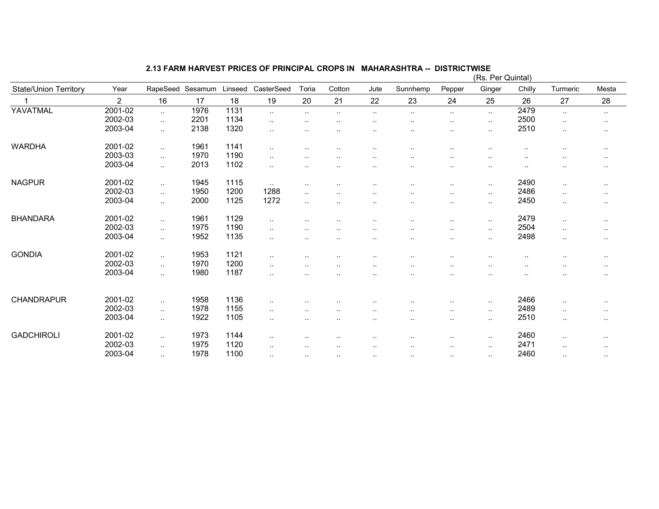|                              |                |           |         |         |                      |               |               |           |                      |                      | (Rs. Per Quintal) |           |               |        |
|------------------------------|----------------|-----------|---------|---------|----------------------|---------------|---------------|-----------|----------------------|----------------------|-------------------|-----------|---------------|--------|
| <b>State/Union Territory</b> | Year           | RapeSeed  | Sesamum | Linseed | CasterSeed           | Toria         | Cotton        | Jute      | Sunnhemp             | Pepper               | Ginger            | Chilly    | Turmeric      | Mesta  |
|                              | $\overline{2}$ | 16        | 17      | 18      | 19                   | 20            | 21            | 22        | 23                   | 24                   | 25                | 26        | 27            | 28     |
| YAVATMAL                     | 2001-02        | $\sim$    | 1976    | 1131    | $\ddotsc$            | $\cdot$ .     | $\sim$        | $\ldots$  | $\ddotsc$            | $\sim$ .             | $\ldots$          | 2479      | $\sim$        | $\sim$ |
|                              | 2002-03        | $\ddotsc$ | 2201    | 1134    | $\ddotsc$            |               | . .           |           |                      | $\ddotsc$            | $\ddotsc$         | 2500      | $\ddotsc$     | $\sim$ |
|                              | 2003-04        | $\ddotsc$ | 2138    | 1320    | $\sim$               | $\sim$ $\sim$ |               |           |                      | $\sim$               | $\cdot$ .         | 2510      | $\sim$        | $\sim$ |
| <b>WARDHA</b>                | 2001-02        | $\sim$    | 1961    | 1141    | $\ddotsc$            | $\cdot$ .     | $\cdot$ .     | $\cdot$ . |                      | $\ddotsc$            | $\cdot$ .         | $\cdot$ . | $\sim$        | $\sim$ |
|                              | 2003-03        | $\ldots$  | 1970    | 1190    | $\sim$               | $\cdot$ .     | $\sim$        |           |                      | $\sim$               | $\sim$ $\sim$     | $\sim$    | $\sim$        | $\sim$ |
|                              | 2003-04        | $\ddotsc$ | 2013    | 1102    | $\ddot{\phantom{a}}$ | $\ddotsc$     | . .           | $\cdot$ . |                      | $\ddotsc$            | $\sim$ $\sim$     | $\cdot$ . | $\sim$        | $\sim$ |
| <b>NAGPUR</b>                | 2001-02        | $\sim$    | 1945    | 1115    | $\sim$ $\sim$        | $\cdot$ .     | $\cdot$ .     | $\ddotsc$ | $\cdot$ .            | $\sim$               | $\sim$ $\sim$     | 2490      | $\sim$        | $\sim$ |
|                              | 2002-03        | $\sim$    | 1950    | 1200    | 1288                 | $\cdot$ .     | . .           |           |                      | $\sim$               | $\cdot$ .         | 2486      | $\sim$        | $\sim$ |
|                              | 2003-04        | $\ddotsc$ | 2000    | 1125    | 1272                 | $\sim$        | $\cdot$ .     |           |                      | $\ldots$             | $\cdot$ .         | 2450      | $\sim$        | $\sim$ |
| <b>BHANDARA</b>              | 2001-02        | $\sim$    | 1961    | 1129    | $\sim$               | $\cdot$ .     |               |           |                      | $\sim$               | $\cdot$ .         | 2479      | $\sim$        | $\sim$ |
|                              | 2002-03        | $\ddotsc$ | 1975    | 1190    | $\ddot{\phantom{a}}$ | $\ddotsc$     | $\sim$ $\sim$ |           |                      | $\ddotsc$            | $\sim$            | 2504      | $\ddotsc$     | $\sim$ |
|                              | 2003-04        | $\ddotsc$ | 1952    | 1135    | $\sim$               | $\sim$        | $\cdots$      |           |                      | $\sim$               | $\sim$            | 2498      | $\sim$        | $\sim$ |
| <b>GONDIA</b>                | 2001-02        | $\ddotsc$ | 1953    | 1121    | $\ddotsc$            |               |               |           |                      | $\ddot{\phantom{0}}$ |                   | ٠.        | ٠.            | $\sim$ |
|                              | 2002-03        | $\sim$    | 1970    | 1200    | $\sim$               | $\cdot$ .     | . .           |           |                      | $\ddot{\phantom{0}}$ |                   |           |               | $\sim$ |
|                              | 2003-04        | $\ddotsc$ | 1980    | 1187    | $\cdot$ .            | $\sim$        | $\cdots$      |           |                      | $\sim$               |                   |           |               | $\sim$ |
|                              |                |           |         |         |                      |               |               |           |                      |                      |                   |           |               |        |
| CHANDRAPUR                   | 2001-02        | $\ddotsc$ | 1958    | 1136    | $\cdot$ .            |               |               |           |                      | $\ddotsc$            | $\cdot$ .         | 2466      | $\sim$        | $\sim$ |
|                              | 2002-03        | $\sim$    | 1978    | 1155    | $\sim$               | $\sim$ $\sim$ | $\cdot$ .     | $\cdot$ . |                      | $\sim$               | $\cdot$ .         | 2489      | $\sim$        | $\sim$ |
|                              | 2003-04        | $\ddotsc$ | 1922    | 1105    | $\sim$               | $\cdot$ .     | $\cdots$      |           |                      | $\sim$               | $\cdot$ .         | 2510      | $\sim$        | $\sim$ |
| <b>GADCHIROLI</b>            | 2001-02        | $\sim$    | 1973    | 1144    | $\ddot{\phantom{a}}$ | $\cdot$ .     | . .           | $\cdot$ . | . .                  | $\sim$               | $\sim$            | 2460      | $\sim$        | $\sim$ |
|                              | 2002-03        | $\sim$    | 1975    | 1120    | $\ddot{\phantom{a}}$ | $\ddotsc$     | $\ddotsc$     | $\ddotsc$ | $\ddot{\phantom{a}}$ | $\ldots$             | $\ldots$          | 2471      | $\ddotsc$     | $\sim$ |
|                              | 2003-04        | $\sim$    | 1978    | 1100    | $\sim$               | $\cdot$ .     | $\sim$        | $\sim$    | $\sim$ $\sim$        | $\sim$ $\sim$        | $\sim$            | 2460      | $\sim$ $\sim$ | $\sim$ |